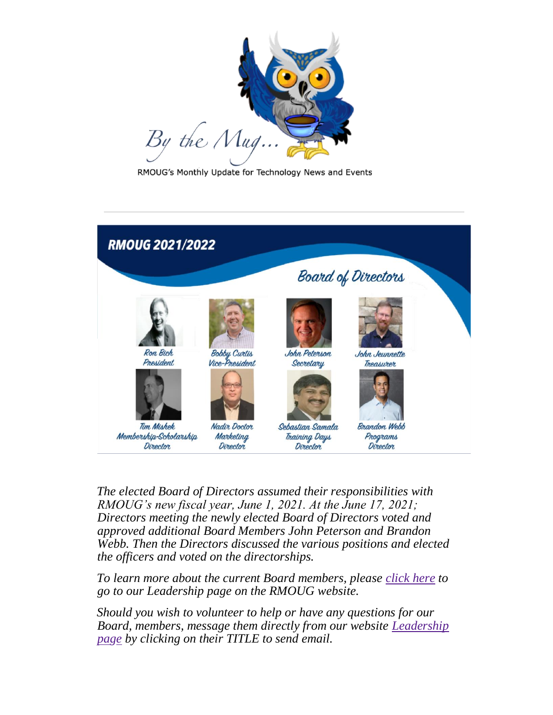

RMOUG's Monthly Update for Technology News and Events



*The elected Board of Directors assumed their responsibilities with RMOUG's new fiscal year, June 1, 2021. At the June 17, 2021; Directors meeting the newly elected Board of Directors voted and approved additional Board Members John Peterson and Brandon Webb. Then the Directors discussed the various positions and elected the officers and voted on the directorships.*

*To learn more about the current Board members, please [click here](https://rmoug.org/page-18224) to go to our Leadership page on the RMOUG website.*

*Should you wish to volunteer to help or have any questions for our Board, members, message them directly from our website [Leadership](https://rmoug.org/page-18224)  [page](https://rmoug.org/page-18224) by clicking on their TITLE to send email.*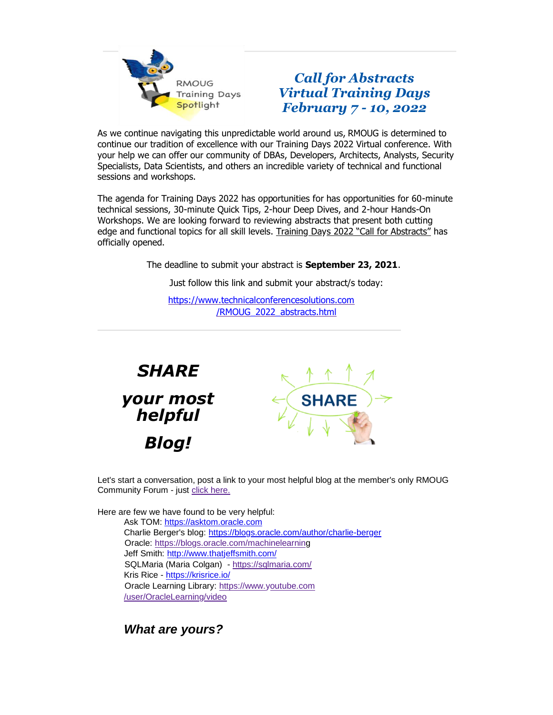

## *Call for Abstracts Virtual Training Days February 7 - 10, 2022*

As we continue navigating this unpredictable world around us, RMOUG is determined to continue our tradition of excellence with our Training Days 2022 Virtual conference. With your help we can offer our community of DBAs, Developers, Architects, Analysts, Security Specialists, Data Scientists, and others an incredible variety of technical and functional sessions and workshops.

The agenda for Training Days 2022 has opportunities for has opportunities for 60-minute technical sessions, 30-minute Quick Tips, 2-hour Deep Dives, and 2-hour Hands-On Workshops. We are looking forward to reviewing abstracts that present both cutting edge and functional topics for all skill levels. Training Days 2022 "Call for Abstracts" has officially opened.

The deadline to submit your abstract is **September 23, 2021**.

Just follow this link and submit your abstract/s today:

[https://www.technicalconferencesolutions.com](https://www.technicalconferencesolutions.com/RMOUG_2022_abstracts.html) [/RMOUG\\_2022\\_abstracts.html](https://www.technicalconferencesolutions.com/RMOUG_2022_abstracts.html)



Let's start a conversation, post a link to your most helpful blog at the member's only RMOUG Community Forum - just [click here.](https://rmoug.org/Member-Forum/10790227)

Here are few we have found to be very helpful: Ask TOM: [https://asktom.oracle.com](https://asktom.oracle.com/) Charlie Berger's blog:<https://blogs.oracle.com/author/charlie-berger> Oracle: [https://blogs.oracle.com/machinelearning](https://blogs.oracle.com/machinelearning/) Jeff Smith:<http://www.thatjeffsmith.com/> SQLMaria (Maria Colgan) - <https://sqlmaria.com/> Kris Rice - <https://krisrice.io/> Oracle Learning Library: [https://www.youtube.com](https://www.youtube.com/user/OracleLearning/videos) [/user/OracleLearning/video](https://www.youtube.com/user/OracleLearning/videos) 

*What are yours?*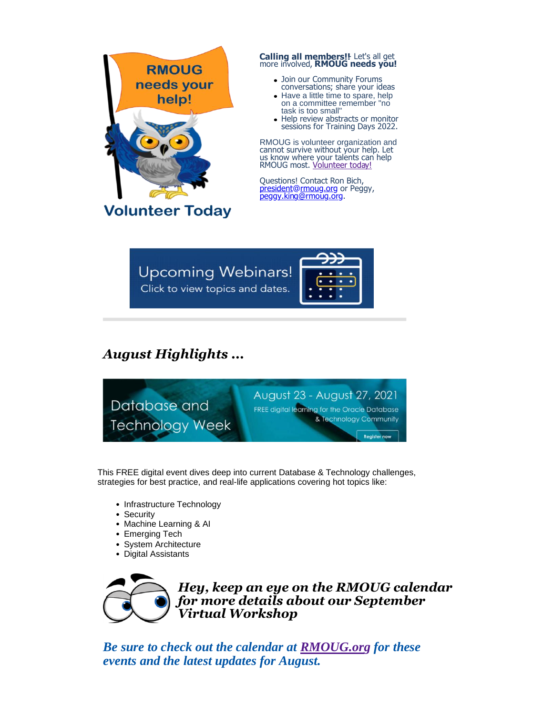

## **Calling all members!!**- Let's all get more involved, **RMOUG needs you!**

- Join our Community Forums conversations; share your ideas
- Have a little time to spare, help on a committee remember "no task is too small"
- Help review abstracts or monitor sessions for Training Days 2022.

RMOUG is volunteer organization and cannot survive without your help. Let us know where your talents can help RMOUG most. **[Volunteer today!](https://rmoug.org/Volunteer)** 

Questions! Contact Ron Bich, president@rmoug.org or Peggy, peggy.king@rmoug.org.

**Upcoming Webinars!** Click to view topics and dates.



## *August Highlights ...*



This FREE digital event dives deep into current Database & Technology challenges, strategies for best practice, and real-life applications covering hot topics like:

- Infrastructure Technology
- Security
- Machine Learning & AI
- Emerging Tech
- System Architecture
- Digital Assistants



*Hey, keep an eye on the RMOUG calendar for more details about our September Virtual Workshop*

*Be sure to check out the calendar at [RMOUG.org](https://rmoug.org/events) for these events and the latest updates for August.*